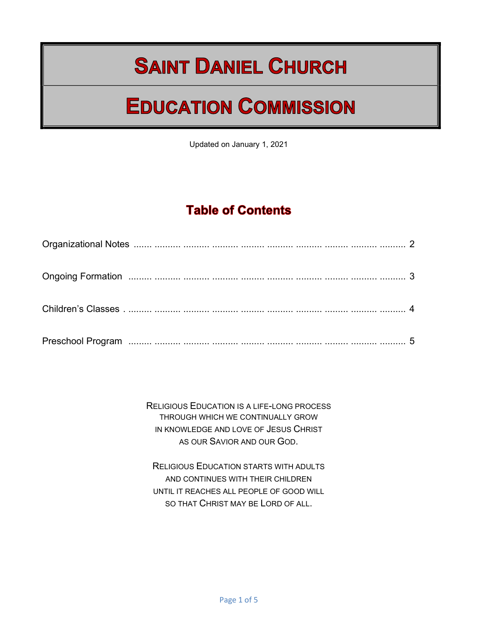# **SAINT DANIEL CHURCH**

# **EDUCATION COMMISSION**

Updated on January 1, 2021

## **Table of Contents**

RELIGIOUS EDUCATION IS A LIFE-LONG PROCESS THROUGH WHICH WE CONTINUALLY GROW IN KNOWLEDGE AND LOVE OF JESUS CHRIST AS OUR SAVIOR AND OUR GOD.

RELIGIOUS EDUCATION STARTS WITH ADULTS AND CONTINUES WITH THEIR CHILDREN UNTIL IT REACHES ALL PEOPLE OF GOOD WILL SO THAT CHRIST MAY BE LORD OF ALL.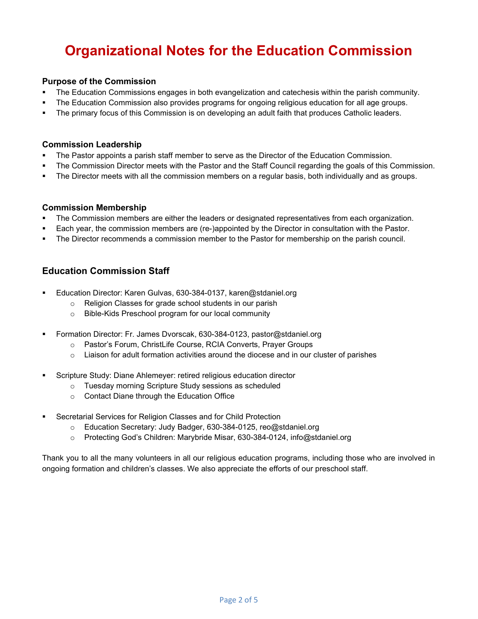# Organizational Notes for the Education Commission

#### Purpose of the Commission

- The Education Commissions engages in both evangelization and catechesis within the parish community.
- The Education Commission also provides programs for ongoing religious education for all age groups.
- The primary focus of this Commission is on developing an adult faith that produces Catholic leaders.

#### Commission Leadership

- The Pastor appoints a parish staff member to serve as the Director of the Education Commission.
- The Commission Director meets with the Pastor and the Staff Council regarding the goals of this Commission.
- The Director meets with all the commission members on a regular basis, both individually and as groups.

#### Commission Membership

- The Commission members are either the leaders or designated representatives from each organization.
- Each year, the commission members are (re-)appointed by the Director in consultation with the Pastor.
- The Director recommends a commission member to the Pastor for membership on the parish council.

#### Education Commission Staff

- Education Director: Karen Gulvas, 630-384-0137, karen@stdaniel.org
	- o Religion Classes for grade school students in our parish
	- o Bible-Kids Preschool program for our local community
- Formation Director: Fr. James Dvorscak, 630-384-0123, pastor@stdaniel.org
	- o Pastor's Forum, ChristLife Course, RCIA Converts, Prayer Groups
	- $\circ$  Liaison for adult formation activities around the diocese and in our cluster of parishes
- Scripture Study: Diane Ahlemeyer: retired religious education director
	- o Tuesday morning Scripture Study sessions as scheduled
	- o Contact Diane through the Education Office
- Secretarial Services for Religion Classes and for Child Protection
	- o Education Secretary: Judy Badger, 630-384-0125, reo@stdaniel.org
	- o Protecting God's Children: Marybride Misar, 630-384-0124, info@stdaniel.org

Thank you to all the many volunteers in all our religious education programs, including those who are involved in ongoing formation and children's classes. We also appreciate the efforts of our preschool staff.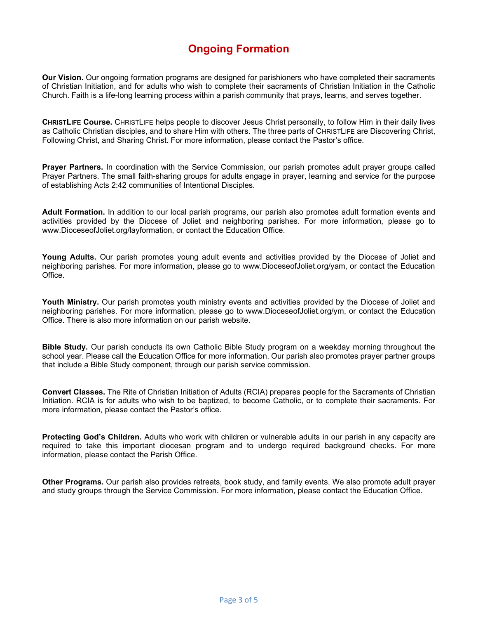## Ongoing Formation

Our Vision. Our ongoing formation programs are designed for parishioners who have completed their sacraments of Christian Initiation, and for adults who wish to complete their sacraments of Christian Initiation in the Catholic Church. Faith is a life-long learning process within a parish community that prays, learns, and serves together.

CHRISTLIFE Course. CHRISTLIFE helps people to discover Jesus Christ personally, to follow Him in their daily lives as Catholic Christian disciples, and to share Him with others. The three parts of CHRISTLIFE are Discovering Christ, Following Christ, and Sharing Christ. For more information, please contact the Pastor's office.

Prayer Partners. In coordination with the Service Commission, our parish promotes adult prayer groups called Prayer Partners. The small faith-sharing groups for adults engage in prayer, learning and service for the purpose of establishing Acts 2:42 communities of Intentional Disciples.

Adult Formation. In addition to our local parish programs, our parish also promotes adult formation events and activities provided by the Diocese of Joliet and neighboring parishes. For more information, please go to www.DioceseofJoliet.org/layformation, or contact the Education Office.

Young Adults. Our parish promotes young adult events and activities provided by the Diocese of Joliet and neighboring parishes. For more information, please go to www.DioceseofJoliet.org/yam, or contact the Education Office.

Youth Ministry. Our parish promotes youth ministry events and activities provided by the Diocese of Joliet and neighboring parishes. For more information, please go to www.DioceseofJoliet.org/ym, or contact the Education Office. There is also more information on our parish website.

**Bible Study.** Our parish conducts its own Catholic Bible Study program on a weekday morning throughout the school year. Please call the Education Office for more information. Our parish also promotes prayer partner groups that include a Bible Study component, through our parish service commission.

Convert Classes. The Rite of Christian Initiation of Adults (RCIA) prepares people for the Sacraments of Christian Initiation. RCIA is for adults who wish to be baptized, to become Catholic, or to complete their sacraments. For more information, please contact the Pastor's office.

Protecting God's Children. Adults who work with children or vulnerable adults in our parish in any capacity are required to take this important diocesan program and to undergo required background checks. For more information, please contact the Parish Office.

Other Programs. Our parish also provides retreats, book study, and family events. We also promote adult prayer and study groups through the Service Commission. For more information, please contact the Education Office.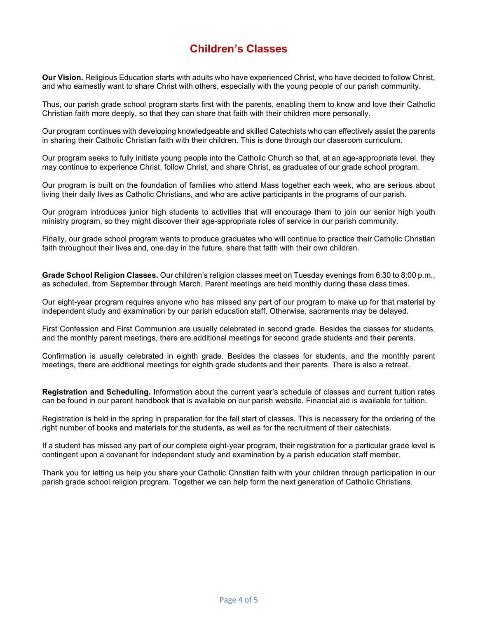## Children's Classes

Our Vision. Religious Education starts with adults who have experienced Christ, who have decided to follow Christ, and who earnestly want to share Christ with others, especially with the young people of our parish community.

Thus, our parish grade school program starts first with the parents, enabling them to know and love their Catholic Christian faith more deeply, so that they can share that faith with their children more personally.

Our program continues with developing knowledgeable and skilled Catechists who can effectively assist the parents in sharing their Catholic Christian faith with their children. This is done through our classroom curriculum.

Our program seeks to fully initiate young people into the Catholic Church so that, at an age-appropriate level, they may continue to experience Christ, follow Christ, and share Christ, as graduates of our grade school program.

Our program is built on the foundation of families who attend Mass together each week, who are serious about living their daily lives as Catholic Christians, and who are active participants in the programs of our parish.

Our program introduces junior high students to activities that will encourage them to join our senior high youth ministry program, so they might discover their age-appropriate roles of service in our parish community.

Finally, our grade school program wants to produce graduates who will continue to practice their Catholic Christian faith throughout their lives and, one day in the future, share that faith with their own children.

Grade School Religion Classes. Our children's religion classes meet on Tuesday evenings from 6:30 to 8:00 p.m., as scheduled, from September through March. Parent meetings are held monthly during these class times.

Our eight-year program requires anyone who has missed any part of our program to make up for that material by independent study and examination by our parish education staff. Otherwise, sacraments may be delayed.

First Confession and First Communion are usually celebrated in second grade. Besides the classes for students, and the monthly parent meetings, there are additional meetings for second grade students and their parents.

Confirmation is usually celebrated in eighth grade. Besides the classes for students, and the monthly parent meetings, there are additional meetings for eighth grade students and their parents. There is also a retreat.

Registration and Scheduling. Information about the current year's schedule of classes and current tuition rates can be found in our parent handbook that is available on our parish website. Financial aid is available for tuition.

Registration is held in the spring in preparation for the fall start of classes. This is necessary for the ordering of the right number of books and materials for the students, as well as for the recruitment of their catechists.

If a student has missed any part of our complete eight-year program, their registration for a particular grade level is contingent upon a covenant for independent study and examination by a parish education staff member.

Thank you for letting us help you share your Catholic Christian faith with your children through participation in our parish grade school religion program. Together we can help form the next generation of Catholic Christians.